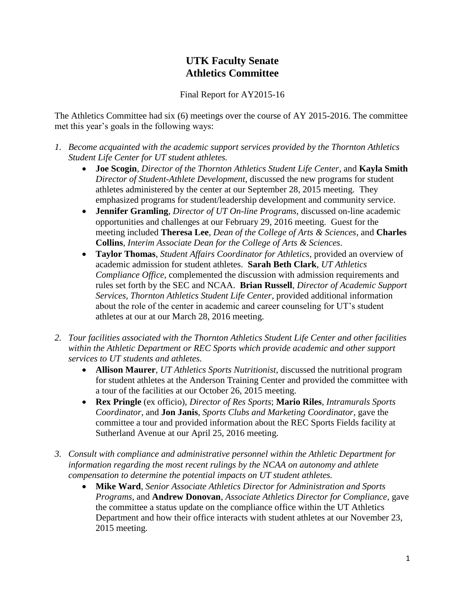## **UTK Faculty Senate Athletics Committee**

Final Report for AY2015-16

The Athletics Committee had six (6) meetings over the course of AY 2015-2016. The committee met this year's goals in the following ways:

- *1. Become acquainted with the academic support services provided by the Thornton Athletics Student Life Center for UT student athletes.*
	- **Joe Scogin**, *Director of the Thornton Athletics Student Life Center*, and **Kayla Smith** *Director of Student-Athlete Development*, discussed the new programs for student athletes administered by the center at our September 28, 2015 meeting. They emphasized programs for student/leadership development and community service.
	- **Jennifer Gramling**, *Director of UT On-line Programs*, discussed on-line academic opportunities and challenges at our February 29, 2016 meeting. Guest for the meeting included **Theresa Lee**, *Dean of the College of Arts & Sciences*, and **Charles Collins**, *Interim Associate Dean for the College of Arts & Sciences*.
	- **Taylor Thomas**, *Student Affairs Coordinator for Athletics*, provided an overview of academic admission for student athletes. **Sarah Beth Clark**, *UT Athletics Compliance Office*, complemented the discussion with admission requirements and rules set forth by the SEC and NCAA. **Brian Russell**, *Director of Academic Support Services, Thornton Athletics Student Life Center*, provided additional information about the role of the center in academic and career counseling for UT's student athletes at our at our March 28, 2016 meeting.
- *2. Tour facilities associated with the Thornton Athletics Student Life Center and other facilities within the Athletic Department or REC Sports which provide academic and other support services to UT students and athletes.*
	- **Allison Maurer**, *UT Athletics Sports Nutritionist*, discussed the nutritional program for student athletes at the Anderson Training Center and provided the committee with a tour of the facilities at our October 26, 2015 meeting.
	- **Rex Pringle** (ex officio), *Director of Res Sports*; **Mario Riles**, *Intramurals Sports Coordinator*, and **Jon Janis**, *Sports Clubs and Marketing Coordinator*, gave the committee a tour and provided information about the REC Sports Fields facility at Sutherland Avenue at our April 25, 2016 meeting.
- *3. Consult with compliance and administrative personnel within the Athletic Department for information regarding the most recent rulings by the NCAA on autonomy and athlete compensation to determine the potential impacts on UT student athletes.*
	- **Mike Ward**, *Senior Associate Athletics Director for Administration and Sports Programs*, and **Andrew Donovan**, *Associate Athletics Director for Compliance*, gave the committee a status update on the compliance office within the UT Athletics Department and how their office interacts with student athletes at our November 23, 2015 meeting.